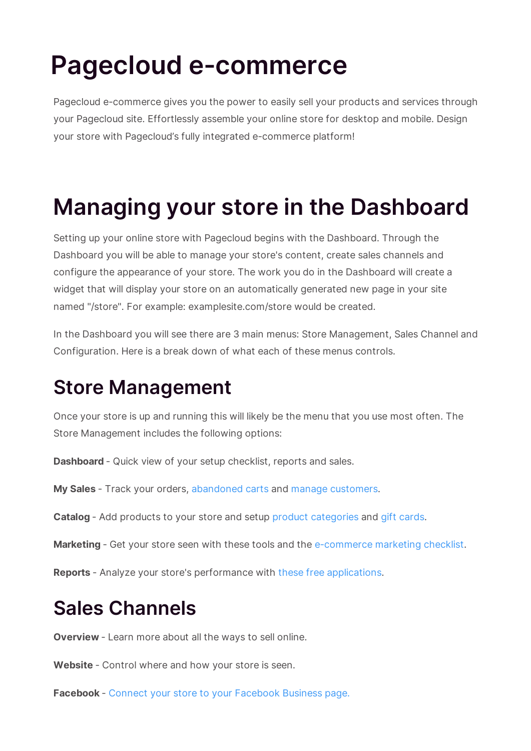# **Pagecloud e-commerce**

Pagecloud e-commerce gives you the power to easily sell your products and services through your Pagecloud site. Effortlessly assemble your online store for desktop and mobile. Design your store with Pagecloud's fully integrated e-commerce platform!

## **Managing your store in the Dashboard**

Setting up your online store with Pagecloud begins with the Dashboard. Through the Dashboard you will be able to manage your store's content, create sales channels and configure the appearance of your store. The work you do in the Dashboard will create a widget that will display your store on an automatically generated new page in your site named "/store". For example: examplesite.com/store would be created.

In the Dashboard you will see there are 3 main menus: Store Management, Sales Channel and Configuration. Here is a break down of what each of these menus controls.

### **Store Management**

Once your store is up and running this will likely be the menu that you use most often. The Store Management includes the following options:

**Dashboard** - Quick view of your setup checklist, reports and sales.

**My Sales** - Track your orders, abandoned carts and manage customers.

**Catalog** - Add products to your store and setup product categories and gift cards.

**Marketing** - Get your store seen with these tools and the e-commerce marketing checklist.

**Reports** - Analyze your store's performance with these free applications.

### **Sales Channels**

**Overview** - Learn more about all the ways to sell online.

**Website** - Control where and how your store is seen.

**Facebook** - Connect your store to your Facebook Business page.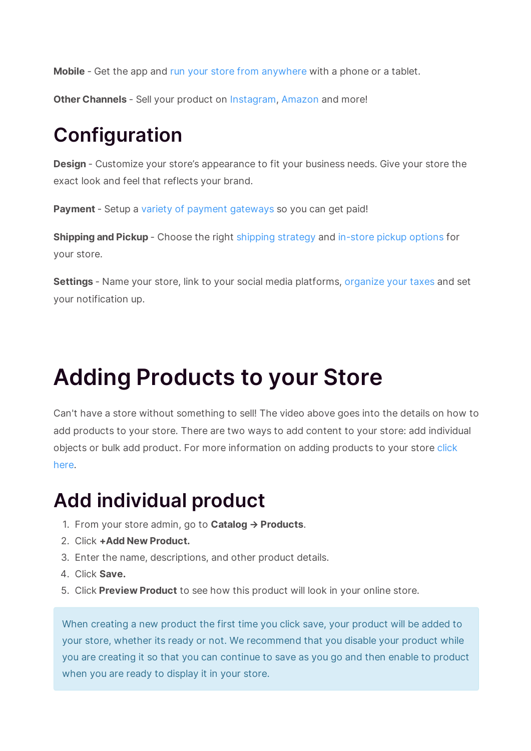**Mobile** - Get the app and run your store from anywhere with a phone or a tablet.

**Other Channels** - Sell your product on Instagram, Amazon and more!

### **Configuration**

**Design** - Customize your store's appearance to fit your business needs. Give your store the exact look and feel that reflects your brand.

Payment - Setup a variety of payment gateways so you can get paid!

**Shipping and Pickup** - Choose the right shipping strategy and in-store pickup options for your store.

**Settings** - Name your store, link to your social media platforms, organize your taxes and set your notification up.

## **Adding Products to your Store**

Can't have a store without something to sell! The video above goes into the details on how to add products to your store. There are two ways to add content to your store: add individual objects or bulk add product. For more information on adding products to your store click here.

### **Add individual product**

- 1. From your store admin, go to **Catalog → Products**.
- 2. Click **+Add New Product.**
- 3. Enter the name, descriptions, and other product details.
- 4. Click **Save.**
- 5. Click **Preview Product** to see how this product will look in your online store.

When creating a new product the first time you click save, your product will be added to your store, whether its ready or not. We recommend that you disable your product while you are creating it so that you can continue to save as you go and then enable to product when you are ready to display it in your store.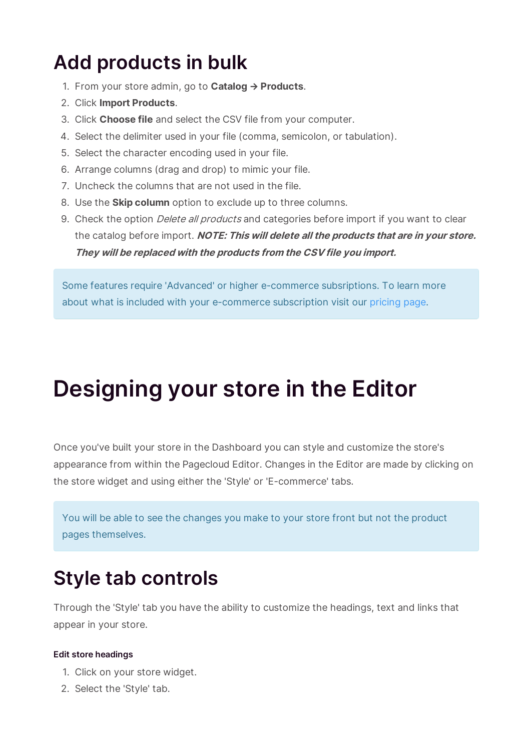### **Add products in bulk**

- 1. From your store admin, go to **Catalog → Products**.
- 2. Click **Import Products**.
- 3. Click **Choose file** and select the CSV file from your computer.
- 4. Select the delimiter used in your file (comma, semicolon, or tabulation).
- 5. Select the character encoding used in your file.
- 6. Arrange columns (drag and drop) to mimic your file.
- 7. Uncheck the columns that are not used in the file.
- 8. Use the **Skip column** option to exclude up to three columns.
- 9. Check the option *Delete all products* and categories before import if you want to clear the catalog before import. **NOTE: This will delete all the products that are in your store. They will be replaced with the products from the CSV file you import.**

Some features require 'Advanced' or higher e-commerce subsriptions. To learn more about what is included with your e-commerce subscription visit our pricing page.

## **Designing your store in the Editor**

Once you've built your store in the Dashboard you can style and customize the store's appearance from within the Pagecloud Editor. Changes in the Editor are made by clicking on the store widget and using either the 'Style' or 'E-commerce' tabs.

You will be able to see the changes you make to your store front but not the product pages themselves.

### **Style tab controls**

Through the 'Style' tab you have the ability to customize the headings, text and links that appear in your store.

#### **Edit store headings**

- 1. Click on your store widget.
- 2. Select the 'Style' tab.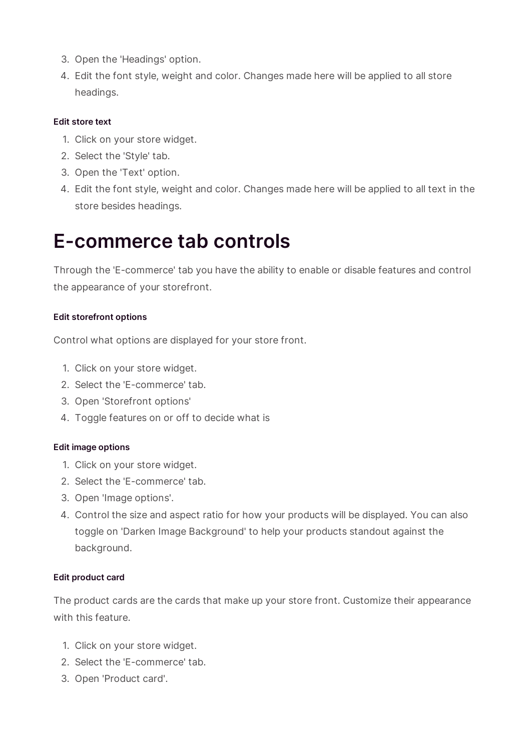- 3. Open the 'Headings' option.
- 4. Edit the font style, weight and color. Changes made here will be applied to all store headings.

#### **Edit store text**

- 1. Click on your store widget.
- 2. Select the 'Style' tab.
- 3. Open the 'Text' option.
- 4. Edit the font style, weight and color. Changes made here will be applied to all text in the store besides headings.

#### **E-commerce tab controls**

Through the 'E-commerce' tab you have the ability to enable or disable features and control the appearance of your storefront.

#### **Edit storefront options**

Control what options are displayed for your store front.

- 1. Click on your store widget.
- 2. Select the 'E-commerce' tab.
- 3. Open 'Storefront options'
- 4. Toggle features on or off to decide what is

#### **Edit image options**

- 1. Click on your store widget.
- 2. Select the 'E-commerce' tab.
- 3. Open 'Image options'.
- 4. Control the size and aspect ratio for how your products will be displayed. You can also toggle on 'Darken Image Background' to help your products standout against the background.

#### **Edit product card**

The product cards are the cards that make up your store front. Customize their appearance with this feature.

- 1. Click on your store widget.
- 2. Select the 'E-commerce' tab.
- 3. Open 'Product card'.